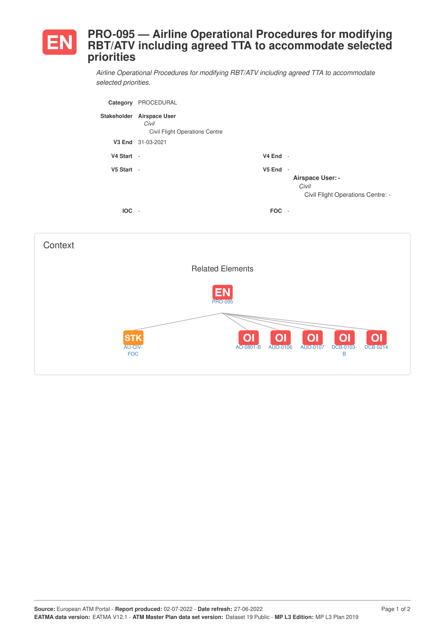## **PRO-095 — Airline Operational Procedures for modifying EN RBT/ATV including agreed TTA to accommodate selected priorities**

*Airline Operational Procedures for modifying RBT/ATV including agreed TTA to accommodate selected priorities.*

| Category   | PROCEDURAL                                                                  |                    |                                                                                                   |
|------------|-----------------------------------------------------------------------------|--------------------|---------------------------------------------------------------------------------------------------|
|            | Stakeholder Airspace User<br>Civil<br><b>Civil Flight Operations Centre</b> |                    |                                                                                                   |
| V3 End     | 31-03-2021                                                                  |                    |                                                                                                   |
| V4 Start - |                                                                             | $V4$ End -         |                                                                                                   |
| V5 Start - |                                                                             | V <sub>5</sub> End | $\overline{\phantom{a}}$<br><b>Airspace User: -</b><br>Civil<br>Civil Flight Operations Centre: - |
| <b>IOC</b> | $\sim$                                                                      | <b>FOC</b>         | $\overline{\phantom{a}}$                                                                          |